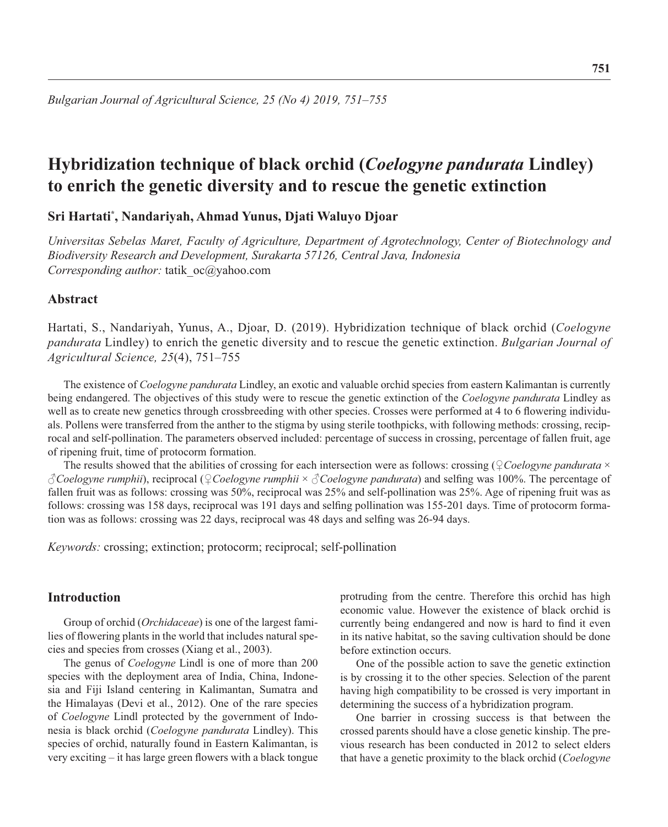# **Hybridization technique of black orchid (***Coelogyne pandurata* **Lindley) to enrich the genetic diversity and to rescue the genetic extinction**

## **Sri Hartati\* , Nandariyah, Ahmad Yunus, Djati Waluyo Djoar**

*Universitas Sebelas Maret, Faculty of Agriculture, Department of Agrotechnology, Center of Biotechnology and Biodiversity Research and Development, Surakarta 57126, Central Java, Indonesia Corresponding author:* tatik\_oc@yahoo.com

## **Abstract**

Hartati, S., Nandariyah, Yunus, A., Djoar, D. (2019). Hybridization technique of black orchid ( *Coelogyne pandurata* Lindley) to enrich the genetic diversity and to rescue the genetic extinction. *Bulgarian Journal of Agricultural Science, 25*(4), 751–755

The existence of *Coelogyne pandurata* Lindley, an exotic and valuable orchid species from eastern Kalimantan is currently being endangered. The objectives of this study were to rescue the genetic extinction of the *Coelogyne pandurata* Lindley as well as to create new genetics through crossbreeding with other species. Crosses were performed at 4 to 6 flowering individuals. Pollens were transferred from the anther to the stigma by using sterile toothpicks, with following methods: crossing, reciprocal and self-pollination. The parameters observed included: percentage of success in crossing, percentage of fallen fruit, age of ripening fruit, time of protocorm formation.

The results showed that the abilities of crossing for each intersection were as follows: crossing (♀*Coelogyne pandurata* × *Coelogyne rumphii*), reciprocal (♀*Coelogyne rumphii* × *3 Coelogyne pandurata*) and selfing was 100%. The percentage of fallen fruit was as follows: crossing was 50%, reciprocal was 25% and self-pollination was 25%. Age of ripening fruit was as follows: crossing was 158 days, reciprocal was 191 days and selfing pollination was 155-201 days. Time of protocorm formation was as follows: crossing was  $22$  days, reciprocal was  $48$  days and selfing was  $26-94$  days.

*Keywords:* crossing; extinction; protocorm; reciprocal; self-pollination

## **Introduction**

Group of orchid (*Orchidaceae*) is one of the largest families of flowering plants in the world that includes natural species and species from crosses (Xiang et al., 2003).

The genus of *Coelogyne* Lindl is one of more than 200 species with the deployment area of India, China, Indonesia and Fiji Island centering in Kalimantan, Sumatra and the Himalayas (Devi et al., 2012). One of the rare species of *Coelogyne* Lindl protected by the government of Indonesia is black orchid (*Coelogyne pandurata* Lindley). This species of orchid, naturally found in Eastern Kalimantan, is very exciting  $-$  it has large green flowers with a black tongue

protruding from the centre. Therefore this orchid has high economic value. However the existence of black orchid is currently being endangered and now is hard to find it even in its native habitat, so the saving cultivation should be done before extinction occurs.

One of the possible action to save the genetic extinction is by crossing it to the other species. Selection of the parent having high compatibility to be crossed is very important in determining the success of a hybridization program.

One barrier in crossing success is that between the crossed parents should have a close genetic kinship. The previous research has been conducted in 2012 to select elders that have a genetic proximity to the black orchid (*Coelogyne*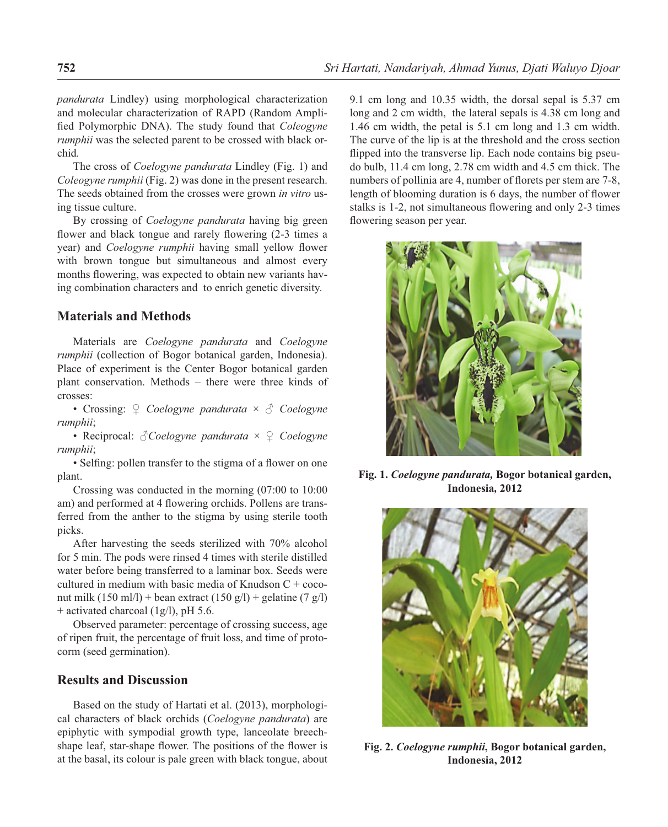*pandurata* Lindley) using morphological characterization and molecular characterization of RAPD (Random Amplified Polymorphic DNA). The study found that *Coleogyne rumphii* was the selected parent to be crossed with black orchid*.*

The cross of *Coelogyne pandurata* Lindley (Fig. 1) and *Coleogyne rumphii* (Fig. 2) was done in the present research. The seeds obtained from the crosses were grown *in vitro* using tissue culture.

By crossing of *Coelogyne pandurata* having big green flower and black tongue and rarely flowering (2-3 times a year) and *Coelogyne rumphii* having small yellow flower with brown tongue but simultaneous and almost every months flowering, was expected to obtain new variants having combination characters and to enrich genetic diversity.

## **Materials and Methods**

Materials are *Coelogyne pandurata* and *Coelogyne rumphii* (collection of Bogor botanical garden, Indonesia). Place of experiment is the Center Bogor botanical garden plant conservation. Methods – there were three kinds of crosses:

• Crossing: ♀ *Coelogyne pandurata* × ♂ *Coelogyne rumphii*;

• Reciprocal: ♂*Coelogyne pandurata* × ♀ *Coelogyne rumphii*;

• Selfing: pollen transfer to the stigma of a flower on one plant.

Crossing was conducted in the morning (07:00 to 10:00 am) and performed at 4 flowering orchids. Pollens are transferred from the anther to the stigma by using sterile tooth picks.

After harvesting the seeds sterilized with 70% alcohol for 5 min. The pods were rinsed 4 times with sterile distilled water before being transferred to a laminar box. Seeds were cultured in medium with basic media of Knudson  $C + c$ oconut milk (150 ml/l) + bean extract (150 g/l) + gelatine (7 g/l) + activated charcoal (1g/l), pH 5.6.

Observed parameter: percentage of crossing success, age of ripen fruit, the percentage of fruit loss, and time of protocorm (seed germination).

## **Results and Discussion**

Based on the study of Hartati et al. (2013), morphological characters of black orchids (*Coelogyne pandurata*) are epiphytic with sympodial growth type, lanceolate breechshape leaf, star-shape flower. The positions of the flower is at the basal, its colour is pale green with black tongue, about 9.1 cm long and 10.35 width, the dorsal sepal is 5.37 cm long and 2 cm width, the lateral sepals is 4.38 cm long and 1.46 cm width, the petal is 5.1 cm long and 1.3 cm width. The curve of the lip is at the threshold and the cross section flipped into the transverse lip. Each node contains big pseudo bulb, 11.4 cm long, 2.78 cm width and 4.5 cm thick. The numbers of pollinia are 4, number of florets per stem are 7-8, length of blooming duration is 6 days, the number of flower stalks is 1-2, not simultaneous flowering and only 2-3 times flowering season per year.



**Fig. 1.** *Coelogyne pandurata,* **Bogor botanical garden, Indonesia***,* **2012**



**Fig. 2.** *Coelogyne rumphii***, Bogor botanical garden, Indonesia, 2012**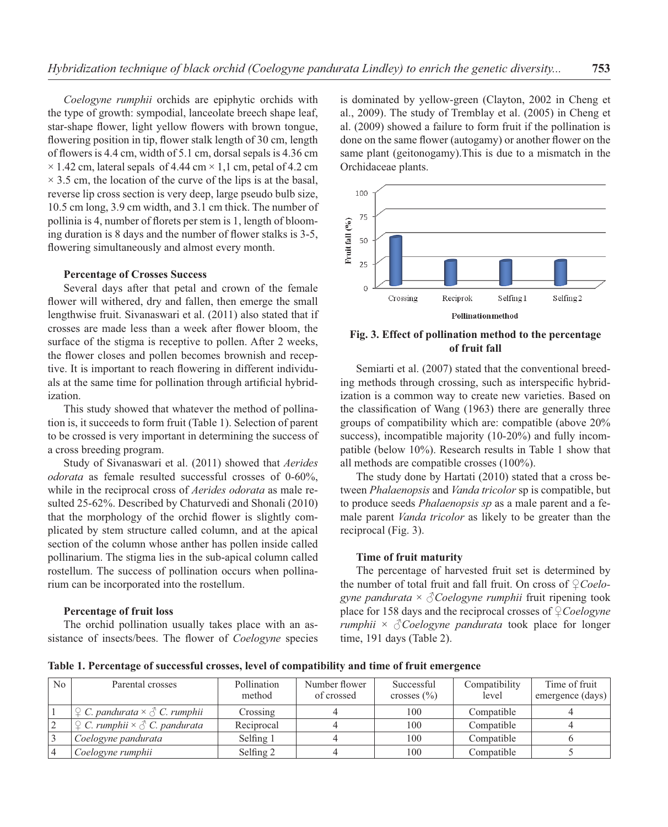*Coelogyne rumphii* orchids are epiphytic orchids with the type of growth: sympodial, lanceolate breech shape leaf, star-shape flower, light yellow flowers with brown tongue, flowering position in tip, flower stalk length of 30 cm, length of flowers is 4.4 cm, width of 5.1 cm, dorsal sepals is 4.36 cm  $\times$  1.42 cm, lateral sepals of 4.44 cm  $\times$  1,1 cm, petal of 4.2 cm  $\times$  3.5 cm, the location of the curve of the lips is at the basal, reverse lip cross section is very deep, large pseudo bulb size, 10.5 cm long, 3.9 cm width, and 3.1 cm thick. The number of pollinia is 4, number of florets per stem is 1, length of blooming duration is 8 days and the number of flower stalks is 3-5, flowering simultaneously and almost every month.

#### **Percentage of Crosses Success**

Several days after that petal and crown of the female flower will withered, dry and fallen, then emerge the small lengthwise fruit. Sivanaswari et al. (2011) also stated that if crosses are made less than a week after flower bloom, the surface of the stigma is receptive to pollen. After 2 weeks, the flower closes and pollen becomes brownish and receptive. It is important to reach flowering in different individuals at the same time for pollination through artificial hybridization.

This study showed that whatever the method of pollination is, it succeeds to form fruit (Table 1). Selection of parent to be crossed is very important in determining the success of a cross breeding program.

Study of Sivanaswari et al. (2011) showed that *Aerides odorata* as female resulted successful crosses of 0-60%, while in the reciprocal cross of *Aerides odorata* as male resulted 25-62%. Described by Chaturvedi and Shonali (2010) that the morphology of the orchid flower is slightly complicated by stem structure called column, and at the apical section of the column whose anther has pollen inside called pollinarium. The stigma lies in the sub-apical column called rostellum. The success of pollination occurs when pollinarium can be incorporated into the rostellum.

#### **Percentage of fruit loss**

The orchid pollination usually takes place with an assistance of insects/bees. The flower of *Coelogyne* species is dominated by yellow-green (Clayton, 2002 in Cheng et al., 2009). The study of Tremblay et al. (2005) in Cheng et al. (2009) showed a failure to form fruit if the pollination is done on the same flower (autogamy) or another flower on the same plant (geitonogamy).This is due to a mismatch in the Orchidaceae plants.



**Fig. 3. Effect of pollination method to the percentage of fruit fall**

Semiarti et al. (2007) stated that the conventional breeding methods through crossing, such as interspecific hybridization is a common way to create new varieties. Based on the classification of Wang  $(1963)$  there are generally three groups of compatibility which are: compatible (above 20% success), incompatible majority (10-20%) and fully incompatible (below 10%). Research results in Table 1 show that all methods are compatible crosses (100%).

The study done by Hartati (2010) stated that a cross between *Phalaenopsis* and *Vanda tricolor* sp is compatible, but to produce seeds *Phalaenopsis sp* as a male parent and a female parent *Vanda tricolor* as likely to be greater than the reciprocal (Fig. 3).

#### **Time of fruit maturity**

The percentage of harvested fruit set is determined by the number of total fruit and fall fruit. On cross of ♀*Coelogyne pandurata* × ♂*Coelogyne rumphii* fruit ripening took place for 158 days and the reciprocal crosses of ♀*Coelogyne rumphii*  $\times \sqrt{\frac{2}{c}}$ *Coelogyne pandurata* took place for longer time, 191 days (Table 2).

 **Table 1. Percentage of successful crosses, level of compatibility and time of fruit emergence**

| No       | Parental crosses                                           | Pollination<br>method | Number flower<br>of crossed | Successful<br>crosses $(\% )$ | Compatibility<br>level | Time of fruit<br>emergence (days) |
|----------|------------------------------------------------------------|-----------------------|-----------------------------|-------------------------------|------------------------|-----------------------------------|
|          | $\mathcal{Q}$ C. pandurata $\times \mathcal{Z}$ C. rumphii | Crossing              |                             | 100                           | Compatible             |                                   |
| $\gamma$ | $\mathcal{Q}$ C. rumphii $\times \mathcal{S}$ C. pandurata | Reciprocal            |                             | 100                           | Compatible             |                                   |
|          | Coelogyne pandurata                                        | Selfing 1             |                             | 100                           | Compatible             |                                   |
| 14       | Coelogyne rumphii                                          | Selfing 2             |                             | 100                           | Compatible             |                                   |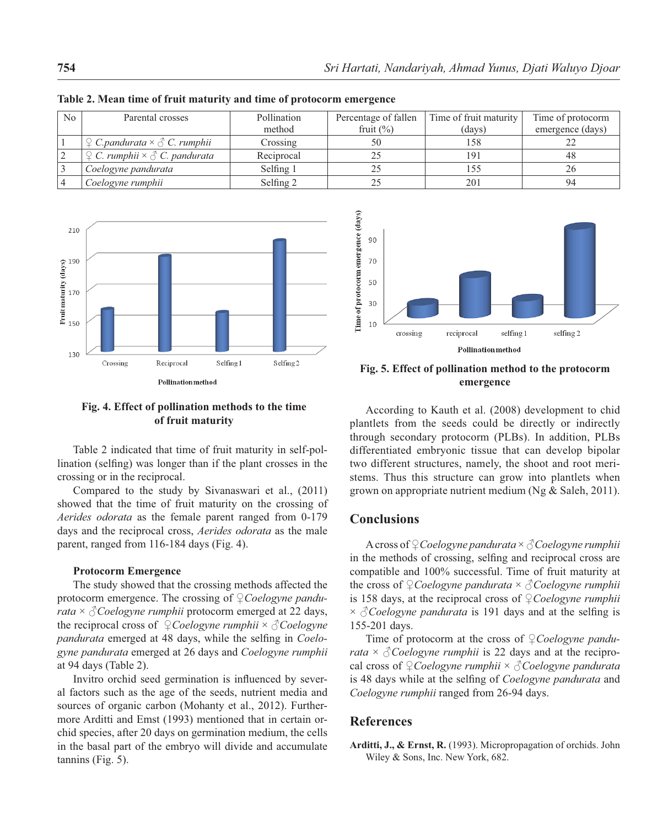| N <sub>o</sub> | Parental crosses                                                                           | Pollination<br>method | Percentage of fallen<br>fruit $(\% )$ | Time of fruit maturity<br>(days) | Time of protocorm<br>emergence (days) |
|----------------|--------------------------------------------------------------------------------------------|-----------------------|---------------------------------------|----------------------------------|---------------------------------------|
|                | $\varphi \subset \mathcal{C}$ . pandurata $\times \vartheta \subset \mathcal{C}$ . rumphii | Crossing              | 50                                    | 158                              |                                       |
|                | $\mathcal{Q}$ C. rumphii $\times \mathcal{S}$ C. pandurata                                 | Reciprocal            |                                       | 191                              | 48                                    |
|                | <sup>1</sup> Coelogyne pandurata                                                           | Selfing 1             |                                       |                                  | 26                                    |
|                | Coelogyne rumphii                                                                          | Selfing 2             |                                       | 201                              | 94                                    |

**Table 2. Mean time of fruit maturity and time of protocorm emergence** 





Table 2 indicated that time of fruit maturity in self-pollination (selfing) was longer than if the plant crosses in the crossing or in the reciprocal.

Compared to the study by Sivanaswari et al., (2011) showed that the time of fruit maturity on the crossing of *Aerides odorata* as the female parent ranged from 0-179 days and the reciprocal cross, *Aerides odorata* as the male parent, ranged from 116-184 days (Fig. 4).

#### **Protocorm Emergence**

The study showed that the crossing methods affected the protocorm emergence. The crossing of ♀*Coelogyne pandurata*  $\times$   $\triangle$ *Coelogyne rumphii* protocorm emerged at 22 days, the reciprocal cross of ♀*Coelogyne rumphii* × ♂*Coelogyne pandurata* emerged at 48 days, while the selfing in *Coelogyne pandurata* emerged at 26 days and *Coelogyne rumphii*  at 94 days (Table 2).

Invitro orchid seed germination is influenced by several factors such as the age of the seeds, nutrient media and sources of organic carbon (Mohanty et al., 2012). Furthermore Arditti and Emst (1993) mentioned that in certain orchid species, after 20 days on germination medium, the cells in the basal part of the embryo will divide and accumulate tannins (Fig. 5).



**Fig. 5. Effect of pollination method to the protocorm emergence**

According to Kauth et al. (2008) development to chid plantlets from the seeds could be directly or indirectly through secondary protocorm (PLBs). In addition, PLBs differentiated embryonic tissue that can develop bipolar two different structures, namely, the shoot and root meristems. Thus this structure can grow into plantlets when grown on appropriate nutrient medium (Ng & Saleh, 2011).

## **Conclusions**

A cross of ♀*Coelogyne pandurata* × ♂*Coelogyne rumphii*  in the methods of crossing, selfing and reciprocal cross are compatible and 100% successful. Time of fruit maturity at the cross of ♀*Coelogyne pandurata* × ♂*Coelogyne rumphii*  is 158 days, at the reciprocal cross of ♀*Coelogyne rumphii*   $\times \triangle$ *Coelogyne pandurata* is 191 days and at the selfing is 155-201 days.

Time of protocorm at the cross of ♀*Coelogyne pandurata*  $\times$   $\Diamond$  *Coelogyne rumphii* is 22 days and at the reciprocal cross of ♀*Coelogyne rumphii* × ♂*Coelogyne pandurata*  is 48 days while at the selfing of *Coelogyne pandurata* and *Coelogyne rumphii* ranged from 26-94 days.

### **References**

**Arditti, J., & Ernst, R.** (1993). Micropropagation of orchids. John Wiley & Sons, Inc. New York, 682.